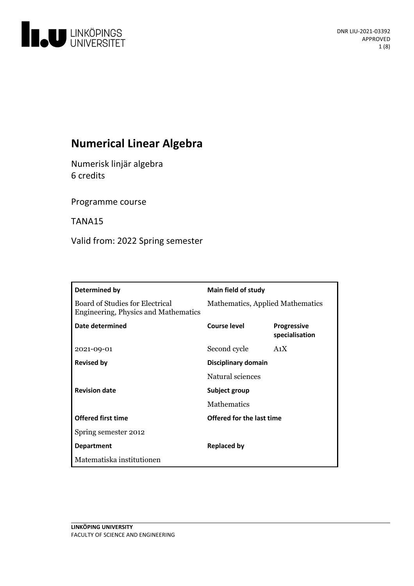

# **Numerical Linear Algebra**

Numerisk linjäralgebra 6 credits

Programme course

TANA15

Valid from: 2022 Spring semester

| Determined by                                                           | <b>Main field of study</b>       |                                      |
|-------------------------------------------------------------------------|----------------------------------|--------------------------------------|
| Board of Studies for Electrical<br>Engineering, Physics and Mathematics | Mathematics, Applied Mathematics |                                      |
| Date determined                                                         | Course level                     | <b>Progressive</b><br>specialisation |
| 2021-09-01                                                              | Second cycle                     | A <sub>1</sub> X                     |
| <b>Revised by</b>                                                       | Disciplinary domain              |                                      |
|                                                                         | Natural sciences                 |                                      |
| <b>Revision date</b>                                                    | Subject group                    |                                      |
|                                                                         | Mathematics                      |                                      |
| <b>Offered first time</b>                                               | Offered for the last time        |                                      |
| Spring semester 2012                                                    |                                  |                                      |
| <b>Department</b>                                                       | <b>Replaced by</b>               |                                      |
| Matematiska institutionen                                               |                                  |                                      |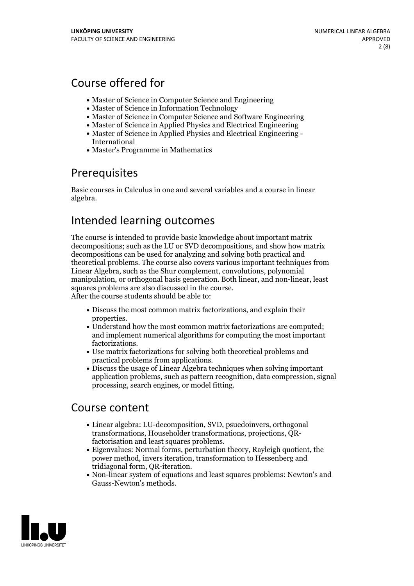# Course offered for

- Master of Science in Computer Science and Engineering
- Master of Science in Information Technology
- Master of Science in Computer Science and Software Engineering
- Master of Science in Applied Physics and Electrical Engineering
- Master of Science in Applied Physics and Electrical Engineering International
- Master's Programme in Mathematics

## Prerequisites

Basic courses in Calculus in one and several variables and a course in linear algebra.

## Intended learning outcomes

The course is intended to provide basic knowledge about important matrix decompositions; such as the LU or SVD decompositions, and show how matrix decompositions can be used for analyzing and solving both practical and theoretical problems. The course also covers various important techniques from Linear Algebra, such as the Shur complement, convolutions, polynomial manipulation, or orthogonal basis generation. Both linear, and non-linear, least squares problems are also discussed in the course. After the course students should be able to:

- Discuss the most common matrix factorizations, and explain their properties.<br>• Understand how the most common matrix factorizations are computed;
- and implement numerical algorithms for computing the most important
- factorizations.<br>• Use matrix factorizations for solving both theoretical problems and
- practical problems from applications.<br>• Discuss the usage of Linear Algebra techniques when solving important application problems, such as pattern recognition, data compression, signal processing, search engines, or model fitting.

## Course content

- Linear algebra: LU-decomposition, SVD, psuedoinvers, orthogonal transformations, Householder transformations, projections, QR-
- factorisation and least squares problems.<br>• Eigenvalues: Normal forms, perturbation theory, Rayleigh quotient, the power method, invers iteration, transformation to Hessenberg and tridiagonal form, QR-iteration.<br>• Non-linear system of equations and least squares problems: Newton's and
- Gauss-Newton's methods.

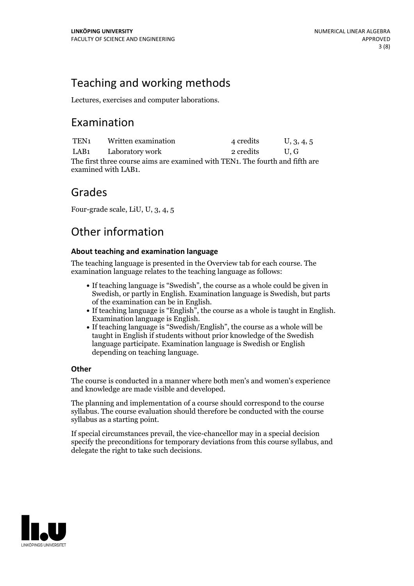# Teaching and working methods

Lectures, exercises and computer laborations.

## Examination

TEN<sub>1</sub> Written examination 4 credits U, 3, 4, 5 LAB1 Laboratory work 2 credits U, G The first three course aims are examined with TEN1. The fourth and fifth are examined with LAB1.

## Grades

Four-grade scale, LiU, U, 3, 4, 5

# Other information

### **About teaching and examination language**

The teaching language is presented in the Overview tab for each course. The examination language relates to the teaching language as follows:

- If teaching language is "Swedish", the course as a whole could be given in Swedish, or partly in English. Examination language is Swedish, but parts
- of the examination can be in English. If teaching language is "English", the course as <sup>a</sup> whole is taught in English. Examination language is English. If teaching language is "Swedish/English", the course as <sup>a</sup> whole will be
- taught in English if students without prior knowledge of the Swedish language participate. Examination language is Swedish or English depending on teaching language.

### **Other**

The course is conducted in a manner where both men's and women's experience and knowledge are made visible and developed.

The planning and implementation of a course should correspond to the course syllabus. The course evaluation should therefore be conducted with the course syllabus as a starting point.

If special circumstances prevail, the vice-chancellor may in a special decision specify the preconditions for temporary deviations from this course syllabus, and delegate the right to take such decisions.

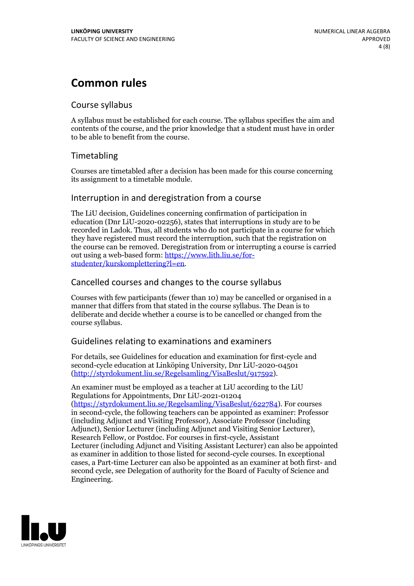## **Common rules**

### Course syllabus

A syllabus must be established for each course. The syllabus specifies the aim and contents of the course, and the prior knowledge that a student must have in order to be able to benefit from the course.

## Timetabling

Courses are timetabled after a decision has been made for this course concerning its assignment to a timetable module.

### Interruption in and deregistration from a course

The LiU decision, Guidelines concerning confirmation of participation in education (Dnr LiU-2020-02256), states that interruptions in study are to be recorded in Ladok. Thus, all students who do not participate in a course for which they have registered must record the interruption, such that the registration on the course can be removed. Deregistration from or interrupting a course is carried out using <sup>a</sup> web-based form: https://www.lith.liu.se/for- [studenter/kurskomplettering?l=en.](https://www.lith.liu.se/for-studenter/kurskomplettering?l=en)

## Cancelled courses and changes to the course syllabus

Courses with few participants (fewer than 10) may be cancelled or organised in a manner that differs from that stated in the course syllabus. The Dean is to deliberate and decide whether a course is to be cancelled or changed from the course syllabus.

## Guidelines relating to examinations and examiners

For details, see Guidelines for education and examination for first-cycle and second-cycle education at Linköping University, Dnr LiU-2020-04501 [\(http://styrdokument.liu.se/Regelsamling/VisaBeslut/917592\)](http://styrdokument.liu.se/Regelsamling/VisaBeslut/917592).

An examiner must be employed as a teacher at LiU according to the LiU Regulations for Appointments, Dnr LiU-2021-01204 [\(https://styrdokument.liu.se/Regelsamling/VisaBeslut/622784](https://styrdokument.liu.se/Regelsamling/VisaBeslut/622784)). For courses in second-cycle, the following teachers can be appointed as examiner: Professor (including Adjunct and Visiting Professor), Associate Professor (including Adjunct), Senior Lecturer (including Adjunct and Visiting Senior Lecturer), Research Fellow, or Postdoc. For courses in first-cycle, Assistant Lecturer (including Adjunct and Visiting Assistant Lecturer) can also be appointed as examiner in addition to those listed for second-cycle courses. In exceptional cases, a Part-time Lecturer can also be appointed as an examiner at both first- and second cycle, see Delegation of authority for the Board of Faculty of Science and Engineering.

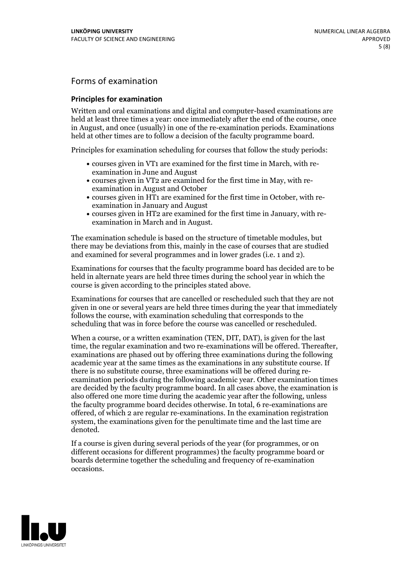## Forms of examination

#### **Principles for examination**

Written and oral examinations and digital and computer-based examinations are held at least three times a year: once immediately after the end of the course, once in August, and once (usually) in one of the re-examination periods. Examinations held at other times are to follow a decision of the faculty programme board.

Principles for examination scheduling for courses that follow the study periods:

- courses given in VT1 are examined for the first time in March, with re-examination in June and August
- courses given in VT2 are examined for the first time in May, with re-examination in August and October
- courses given in HT1 are examined for the first time in October, with re-examination in January and August
- courses given in HT2 are examined for the first time in January, with re-examination in March and in August.

The examination schedule is based on the structure of timetable modules, but there may be deviations from this, mainly in the case of courses that are studied and examined for several programmes and in lower grades (i.e. 1 and 2).

Examinations for courses that the faculty programme board has decided are to be held in alternate years are held three times during the school year in which the course is given according to the principles stated above.

Examinations for courses that are cancelled orrescheduled such that they are not given in one or several years are held three times during the year that immediately follows the course, with examination scheduling that corresponds to the scheduling that was in force before the course was cancelled or rescheduled.

When a course, or a written examination (TEN, DIT, DAT), is given for the last time, the regular examination and two re-examinations will be offered. Thereafter, examinations are phased out by offering three examinations during the following academic year at the same times as the examinations in any substitute course. If there is no substitute course, three examinations will be offered during re- examination periods during the following academic year. Other examination times are decided by the faculty programme board. In all cases above, the examination is also offered one more time during the academic year after the following, unless the faculty programme board decides otherwise. In total, 6 re-examinations are offered, of which 2 are regular re-examinations. In the examination registration system, the examinations given for the penultimate time and the last time are denoted.

If a course is given during several periods of the year (for programmes, or on different occasions for different programmes) the faculty programme board or boards determine together the scheduling and frequency of re-examination occasions.

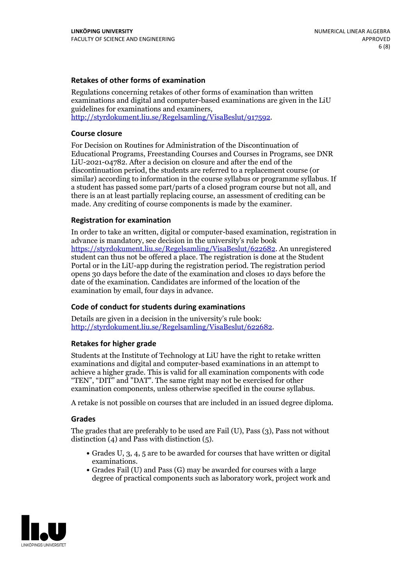#### **Retakes of other forms of examination**

Regulations concerning retakes of other forms of examination than written examinations and digital and computer-based examinations are given in the LiU guidelines for examinations and examiners, [http://styrdokument.liu.se/Regelsamling/VisaBeslut/917592.](http://styrdokument.liu.se/Regelsamling/VisaBeslut/917592)

#### **Course closure**

For Decision on Routines for Administration of the Discontinuation of Educational Programs, Freestanding Courses and Courses in Programs, see DNR LiU-2021-04782. After a decision on closure and after the end of the discontinuation period, the students are referred to a replacement course (or similar) according to information in the course syllabus or programme syllabus. If a student has passed some part/parts of a closed program course but not all, and there is an at least partially replacing course, an assessment of crediting can be made. Any crediting of course components is made by the examiner.

#### **Registration for examination**

In order to take an written, digital or computer-based examination, registration in advance is mandatory, see decision in the university's rule book [https://styrdokument.liu.se/Regelsamling/VisaBeslut/622682.](https://styrdokument.liu.se/Regelsamling/VisaBeslut/622682) An unregistered student can thus not be offered a place. The registration is done at the Student Portal or in the LiU-app during the registration period. The registration period opens 30 days before the date of the examination and closes 10 days before the date of the examination. Candidates are informed of the location of the examination by email, four days in advance.

#### **Code of conduct for students during examinations**

Details are given in a decision in the university's rule book: <http://styrdokument.liu.se/Regelsamling/VisaBeslut/622682>.

#### **Retakes for higher grade**

Students at the Institute of Technology at LiU have the right to retake written examinations and digital and computer-based examinations in an attempt to achieve a higher grade. This is valid for all examination components with code "TEN", "DIT" and "DAT". The same right may not be exercised for other examination components, unless otherwise specified in the course syllabus.

A retake is not possible on courses that are included in an issued degree diploma.

#### **Grades**

The grades that are preferably to be used are Fail (U), Pass (3), Pass not without distinction  $(4)$  and Pass with distinction  $(5)$ .

- Grades U, 3, 4, 5 are to be awarded for courses that have written or digital examinations.<br>• Grades Fail (U) and Pass (G) may be awarded for courses with a large
- degree of practical components such as laboratory work, project work and

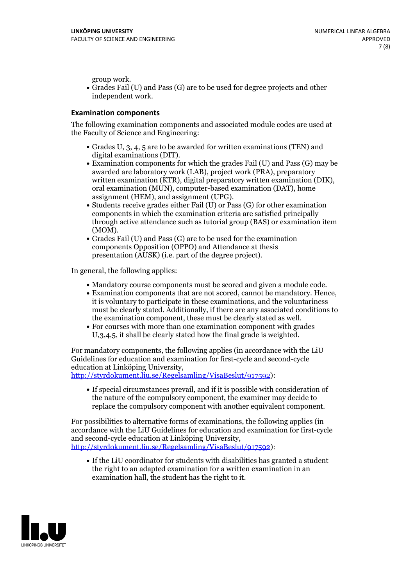group work.<br>• Grades Fail (U) and Pass (G) are to be used for degree projects and other independent work.

### **Examination components**

The following examination components and associated module codes are used at the Faculty of Science and Engineering:

- Grades U, 3, 4, 5 are to be awarded for written examinations (TEN) and
- digital examinations (DIT).<br>• Examination components for which the grades Fail (U) and Pass (G) may be awarded are laboratory work (LAB), project work (PRA), preparatory written examination (KTR), digital preparatory written examination (DIK), oral examination (MUN), computer-based examination (DAT), home
- assignment (HEM), and assignment (UPG).<br>• Students receive grades either Fail (U) or Pass (G) for other examination components in which the examination criteria are satisfied principally through active attendance such as tutorial group (BAS) or examination item
- (MOM).<br>• Grades Fail (U) and Pass (G) are to be used for the examination components Opposition (OPPO) and Attendance at thesis presentation (AUSK) (i.e. part of the degree project).

In general, the following applies:

- 
- Mandatory course components must be scored and given <sup>a</sup> module code. Examination components that are not scored, cannot be mandatory. Hence, it is voluntary to participate in these examinations, and the voluntariness must be clearly stated. Additionally, if there are any associated conditions to
- the examination component, these must be clearly stated as well.<br>• For courses with more than one examination component with grades U,3,4,5, it shall be clearly stated how the final grade is weighted.

For mandatory components, the following applies (in accordance with the LiU Guidelines for education and examination for first-cycle and second-cycle education at Linköping University,<br>[http://styrdokument.liu.se/Regelsamling/VisaBeslut/917592\)](http://styrdokument.liu.se/Regelsamling/VisaBeslut/917592):

If special circumstances prevail, and if it is possible with consideration of the nature of the compulsory component, the examiner may decide to replace the compulsory component with another equivalent component.

For possibilities to alternative forms of examinations, the following applies (in accordance with the LiU Guidelines for education and examination for first-cycle [http://styrdokument.liu.se/Regelsamling/VisaBeslut/917592\)](http://styrdokument.liu.se/Regelsamling/VisaBeslut/917592):

If the LiU coordinator for students with disabilities has granted a student the right to an adapted examination for a written examination in an examination hall, the student has the right to it.